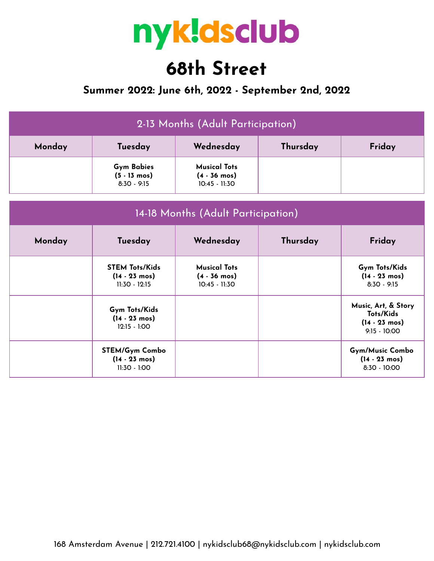

## **68th Street**

## **Summer 2022: June 6th, 2022 - September 2nd, 2022**

| 2-13 Months (Adult Participation) |                                                                    |                                                                  |          |                                                                               |  |  |  |
|-----------------------------------|--------------------------------------------------------------------|------------------------------------------------------------------|----------|-------------------------------------------------------------------------------|--|--|--|
| Monday                            | Tuesday                                                            | Thursday                                                         | Friday   |                                                                               |  |  |  |
|                                   | <b>Gym Babies</b><br>$(5 - 13 \text{ mos})$<br>$8:30 - 9:15$       | <b>Musical Tots</b><br>$(4 - 36 \text{ mos})$<br>$10:45 - 11:30$ |          |                                                                               |  |  |  |
|                                   | 14-18 Months (Adult Participation)                                 |                                                                  |          |                                                                               |  |  |  |
| Monday                            | Tuesday                                                            | Wednesday                                                        | Thursday | Friday                                                                        |  |  |  |
|                                   | <b>STEM Tots/Kids</b><br>$(14 - 23 \text{ mos})$<br>11:30 - 12:15  | <b>Musical Tots</b><br>$(4 - 36 \text{ mos})$<br>10:45 - 11:30   |          | Gym Tots/Kids<br>$(14 - 23 \text{ mos})$<br>$8:30 - 9:15$                     |  |  |  |
|                                   | Gym Tots/Kids<br>$(14 - 23 \text{ mos})$<br>$12:15 - 1:00$         |                                                                  |          | Music, Art, & Story<br>Tots/Kids<br>$(14 - 23 \text{ mos})$<br>$9:15 - 10:00$ |  |  |  |
|                                   | <b>STEM/Gym Combo</b><br>$(14 - 23 \text{ mos})$<br>$11:30 - 1:00$ |                                                                  |          | <b>Gym/Music Combo</b><br>$(14 - 23 \text{ mos})$<br>$8:30 - 10:00$           |  |  |  |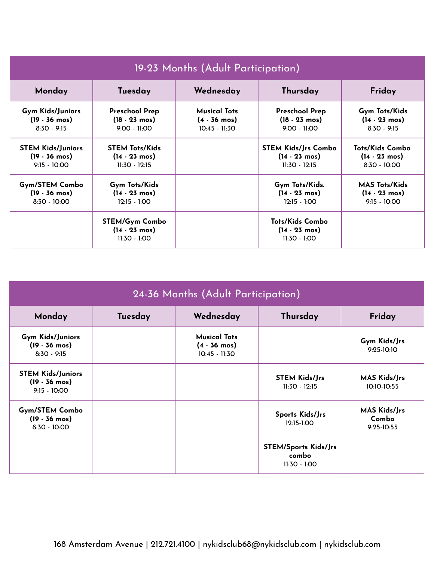| 19-23 Months (Adult Participation) |                                                             |                        |                                                                     |                         |  |
|------------------------------------|-------------------------------------------------------------|------------------------|---------------------------------------------------------------------|-------------------------|--|
| Monday                             | Tuesday                                                     | Wednesday              | Thursday                                                            | Friday                  |  |
| Gym Kids/Juniors                   | <b>Preschool Prep</b>                                       | <b>Musical Tots</b>    | <b>Preschool Prep</b>                                               | Gym Tots/Kids           |  |
| $(19 - 36 \text{ mos})$            | $(18 - 23 \text{ mos})$                                     | $(4 - 36 \text{ mos})$ | $(18 - 23 \text{ mos})$                                             | $(14 - 23 \text{ mos})$ |  |
| $8:30 - 9:15$                      | $9:00 - 11:00$                                              | $10:45 - 11:30$        | $9:00 - 11:00$                                                      | $8:30 - 9:15$           |  |
| <b>STEM Kids/Juniors</b>           | <b>STEM Tots/Kids</b>                                       |                        | <b>STEM Kids/Jrs Combo</b>                                          | Tots/Kids Combo         |  |
| $(19 - 36 \text{ mos})$            | $(14 - 23 \text{ mos})$                                     |                        | $(14 - 23 \text{ mos})$                                             | $(14 - 23 \text{ mos})$ |  |
| $9:15 - 10:00$                     | $11:30 - 12:15$                                             |                        | $11:30 - 12:15$                                                     | $8:30 - 10:00$          |  |
| <b>Gym/STEM Combo</b>              | <b>Gym Tots/Kids</b>                                        |                        | Gym Tots/Kids.                                                      | <b>MAS Tots/Kids</b>    |  |
| $(19 - 36 \text{ mos})$            | $(14 - 23 \text{ mos})$                                     |                        | $(14 - 23 \text{ mos})$                                             | $(14 - 23 \text{ mos})$ |  |
| $8:30 - 10:00$                     | $12:15 - 1:00$                                              |                        | $12:15 - 1:00$                                                      | $9:15 - 10:00$          |  |
|                                    | STEM/Gym Combo<br>$(14 - 23 \text{ mos})$<br>$11:30 - 1:00$ |                        | <b>Tots/Kids Combo</b><br>$(14 - 23 \text{ mos})$<br>$11:30 - 1:00$ |                         |  |

| 24-36 Months (Adult Participation)                                    |         |                                                                |                                                        |                                            |  |
|-----------------------------------------------------------------------|---------|----------------------------------------------------------------|--------------------------------------------------------|--------------------------------------------|--|
| Monday                                                                | Tuesday | Wednesday<br>Thursday                                          |                                                        | Friday                                     |  |
| <b>Gym Kids/Juniors</b><br>$(19 - 36 \text{ mos})$<br>$8:30 - 9:15$   |         | <b>Musical Tots</b><br>$(4 - 36 \text{ mos})$<br>10:45 - 11:30 |                                                        | Gym Kids/Jrs<br>9:25-10:10                 |  |
| <b>STEM Kids/Juniors</b><br>$(19 - 36 \text{ mos})$<br>$9:15 - 10:00$ |         |                                                                | <b>STEM Kids/Jrs</b><br>$11:30 - 12:15$                | <b>MAS Kids/Jrs</b><br>10:10-10:55         |  |
| <b>Gym/STEM Combo</b><br>$(19 - 36 \text{ mos})$<br>$8:30 - 10:00$    |         |                                                                | Sports Kids/Jrs<br>12:15-1:00                          | <b>MAS Kids/Jrs</b><br>Combo<br>9:25-10:55 |  |
|                                                                       |         |                                                                | <b>STEM/Sports Kids/Jrs</b><br>combo<br>$11:30 - 1:00$ |                                            |  |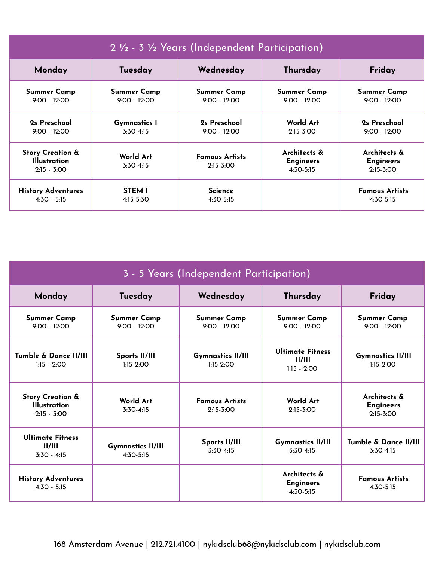| 2 1/2 - 3 1/2 Years (Independent Participation)                     |                        |                                      |                                                 |                                                   |  |
|---------------------------------------------------------------------|------------------------|--------------------------------------|-------------------------------------------------|---------------------------------------------------|--|
| Monday                                                              | Tuesday                | Wednesday                            | Thursday                                        | Friday                                            |  |
| <b>Summer Camp</b>                                                  | <b>Summer Camp</b>     | <b>Summer Camp</b>                   | <b>Summer Camp</b>                              | <b>Summer Camp</b>                                |  |
| $9:00 - 12:00$                                                      | $9:00 - 12:00$         | $9:00 - 12:00$                       | $9:00 - 12:00$                                  | $9:00 - 12:00$                                    |  |
| 2s Preschool                                                        | <b>Gymnastics 1</b>    | 2s Preschool                         | World Art                                       | 2s Preschool                                      |  |
| $9:00 - 12:00$                                                      | $3:30-4:15$            | $9:00 - 12:00$                       | $2:15 - 3:00$                                   | $9:00 - 12:00$                                    |  |
| <b>Story Creation &amp;</b><br><b>Illustration</b><br>$2:15 - 3:00$ | World Art<br>3:30-4:15 | <b>Famous Artists</b><br>$2:15-3:00$ | Architects &<br><b>Engineers</b><br>$4:30-5:15$ | Architects &<br><b>Engineers</b><br>$2:15 - 3:00$ |  |
| <b>History Adventures</b>                                           | <b>STEM I</b>          | <b>Science</b>                       |                                                 | <b>Famous Artists</b>                             |  |
| $4:30 - 5:15$                                                       | 4:15-5:30              | 4:30-5:15                            |                                                 | $4:30-5:15$                                       |  |

| 3 - 5 Years (Independent Participation)                             |                                         |                                         |                                                    |                                                   |  |
|---------------------------------------------------------------------|-----------------------------------------|-----------------------------------------|----------------------------------------------------|---------------------------------------------------|--|
| Monday                                                              | Tuesday                                 | Wednesday                               | Thursday                                           | Friday                                            |  |
| <b>Summer Camp</b><br>$9:00 - 12:00$                                | <b>Summer Camp</b><br>$9:00 - 12:00$    | <b>Summer Camp</b><br>$9:00 - 12:00$    | <b>Summer Camp</b><br>$9:00 - 12:00$               | <b>Summer Camp</b><br>$9:00 - 12:00$              |  |
| Tumble & Dance II/III<br>$1:15 - 2:00$                              | Sports II/III<br>$1:15-2:00$            | <b>Gymnastics II/III</b><br>$1:15-2:00$ | <b>Ultimate Fitness</b><br>II/III<br>$1:15 - 2:00$ | <b>Gymnastics II/III</b><br>$1:15-2:00$           |  |
| <b>Story Creation &amp;</b><br><b>Illustration</b><br>$2:15 - 3:00$ | World Art<br>$3:30-4:15$                | <b>Famous Artists</b><br>$2:15-3:00$    | World Art<br>$2:15 - 3:00$                         | Architects &<br><b>Engineers</b><br>$2:15 - 3:00$ |  |
| <b>Ultimate Fitness</b><br>II/III<br>$3:30 - 4:15$                  | <b>Gymnastics II/III</b><br>$4:30-5:15$ | Sports II/III<br>$3:30-4:15$            | <b>Gymnastics II/III</b><br>$3:30-4:15$            | Tumble & Dance II/III<br>$3:30-4:15$              |  |
| <b>History Adventures</b><br>$4:30 - 5:15$                          |                                         |                                         | Architects &<br><b>Engineers</b><br>4:30-5:15      | <b>Famous Artists</b><br>$4:30-5:15$              |  |